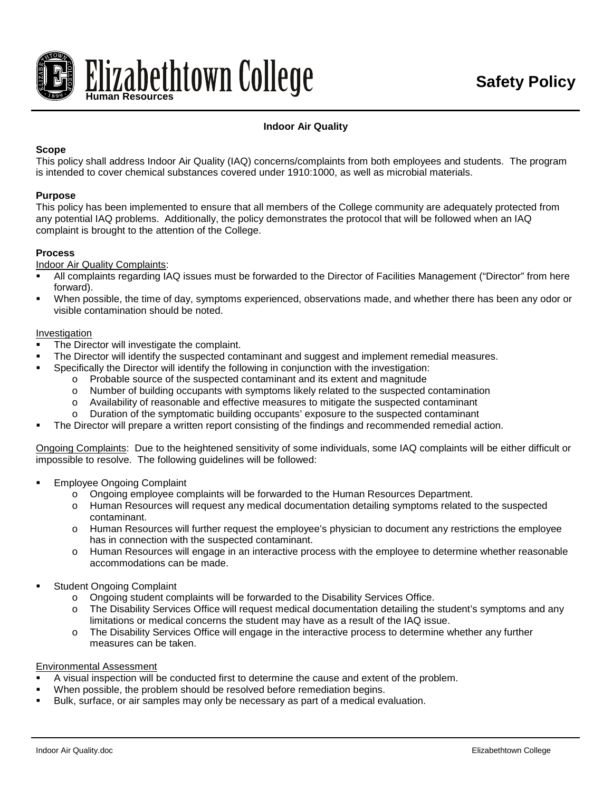

# **Indoor Air Quality**

# **Scope**

This policy shall address Indoor Air Quality (IAQ) concerns/complaints from both employees and students. The program is intended to cover chemical substances covered under 1910:1000, as well as microbial materials.

### **Purpose**

This policy has been implemented to ensure that all members of the College community are adequately protected from any potential IAQ problems. Additionally, the policy demonstrates the protocol that will be followed when an IAQ complaint is brought to the attention of the College.

#### **Process**

Indoor Air Quality Complaints:

- All complaints regarding IAQ issues must be forwarded to the Director of Facilities Management ("Director" from here forward).
- When possible, the time of day, symptoms experienced, observations made, and whether there has been any odor or visible contamination should be noted.

#### Investigation

- The Director will investigate the complaint.
- The Director will identify the suspected contaminant and suggest and implement remedial measures.
- Specifically the Director will identify the following in conjunction with the investigation:
	- o Probable source of the suspected contaminant and its extent and magnitude o<br>Number of building occupants with symptoms likely related to the suspected
	- Number of building occupants with symptoms likely related to the suspected contamination
	- o Availability of reasonable and effective measures to mitigate the suspected contaminant
	- Duration of the symptomatic building occupants' exposure to the suspected contaminant
- The Director will prepare a written report consisting of the findings and recommended remedial action.

Ongoing Complaints: Due to the heightened sensitivity of some individuals, some IAQ complaints will be either difficult or impossible to resolve. The following guidelines will be followed:

- Employee Ongoing Complaint
	- o Ongoing employee complaints will be forwarded to the Human Resources Department.
	- o Human Resources will request any medical documentation detailing symptoms related to the suspected contaminant.
	- o Human Resources will further request the employee's physician to document any restrictions the employee has in connection with the suspected contaminant.
	- o Human Resources will engage in an interactive process with the employee to determine whether reasonable accommodations can be made.
- Student Ongoing Complaint
	- o Ongoing student complaints will be forwarded to the Disability Services Office.
	- o The Disability Services Office will request medical documentation detailing the student's symptoms and any limitations or medical concerns the student may have as a result of the IAQ issue.
	- o The Disability Services Office will engage in the interactive process to determine whether any further measures can be taken.

#### Environmental Assessment

- A visual inspection will be conducted first to determine the cause and extent of the problem.
- When possible, the problem should be resolved before remediation begins.
- Bulk, surface, or air samples may only be necessary as part of a medical evaluation.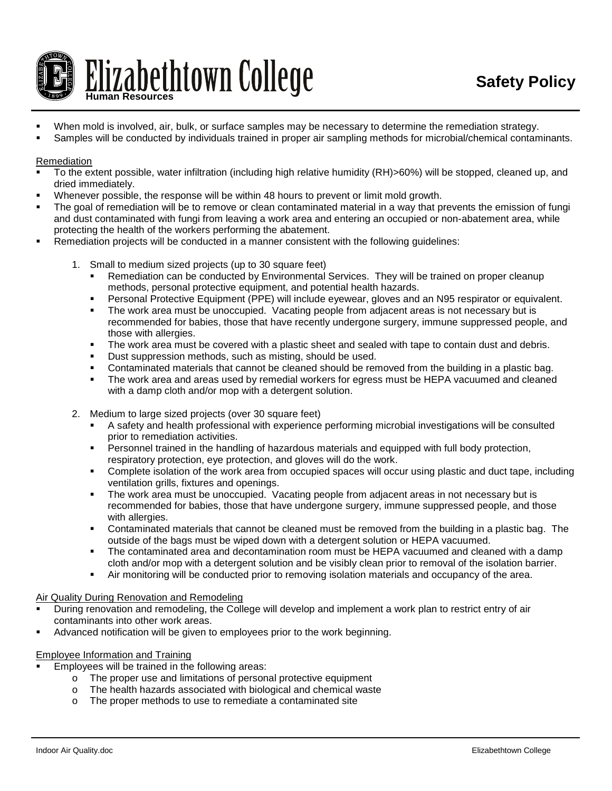

- When mold is involved, air, bulk, or surface samples may be necessary to determine the remediation strategy.
- Samples will be conducted by individuals trained in proper air sampling methods for microbial/chemical contaminants.

## Remediation

- To the extent possible, water infiltration (including high relative humidity (RH)>60%) will be stopped, cleaned up, and dried immediately.
- Whenever possible, the response will be within 48 hours to prevent or limit mold growth.
- The goal of remediation will be to remove or clean contaminated material in a way that prevents the emission of fungi and dust contaminated with fungi from leaving a work area and entering an occupied or non-abatement area, while protecting the health of the workers performing the abatement.
- Remediation projects will be conducted in a manner consistent with the following guidelines:
	- 1. Small to medium sized projects (up to 30 square feet)
		- Remediation can be conducted by Environmental Services. They will be trained on proper cleanup methods, personal protective equipment, and potential health hazards.
		- Personal Protective Equipment (PPE) will include eyewear, gloves and an N95 respirator or equivalent.
		- The work area must be unoccupied. Vacating people from adjacent areas is not necessary but is recommended for babies, those that have recently undergone surgery, immune suppressed people, and those with allergies.
		- The work area must be covered with a plastic sheet and sealed with tape to contain dust and debris.
		- **Dust suppression methods, such as misting, should be used.**
		- Contaminated materials that cannot be cleaned should be removed from the building in a plastic bag.
		- The work area and areas used by remedial workers for egress must be HEPA vacuumed and cleaned with a damp cloth and/or mop with a detergent solution.
	- 2. Medium to large sized projects (over 30 square feet)
		- A safety and health professional with experience performing microbial investigations will be consulted prior to remediation activities.
		- **Personnel trained in the handling of hazardous materials and equipped with full body protection,** respiratory protection, eye protection, and gloves will do the work.
		- Complete isolation of the work area from occupied spaces will occur using plastic and duct tape, including ventilation grills, fixtures and openings.
		- **The work area must be unoccupied. Vacating people from adjacent areas in not necessary but is** recommended for babies, those that have undergone surgery, immune suppressed people, and those with allergies.
		- Contaminated materials that cannot be cleaned must be removed from the building in a plastic bag. The outside of the bags must be wiped down with a detergent solution or HEPA vacuumed.
		- The contaminated area and decontamination room must be HEPA vacuumed and cleaned with a damp cloth and/or mop with a detergent solution and be visibly clean prior to removal of the isolation barrier.
		- Air monitoring will be conducted prior to removing isolation materials and occupancy of the area.

### Air Quality During Renovation and Remodeling

- During renovation and remodeling, the College will develop and implement a work plan to restrict entry of air contaminants into other work areas.
- Advanced notification will be given to employees prior to the work beginning.

### Employee Information and Training

- Employees will be trained in the following areas:
	- $\circ$  The proper use and limitations of personal protective equipment  $\circ$  The health hazards associated with biological and chemical wast
	- $\circ$  The health hazards associated with biological and chemical waste  $\circ$  The proper methods to use to remediate a contaminated site
	- The proper methods to use to remediate a contaminated site